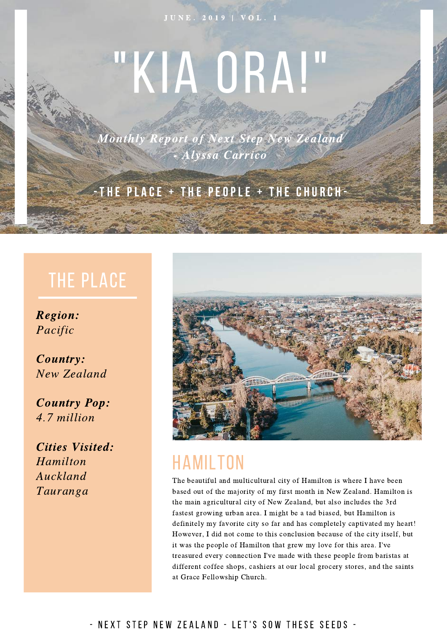#### J U N E . 2019 | V O L . 1

# "KIA ORA!"

Monthly Report of Next Step New Zealand - Alyssa Carrico

#### THE PLACE  $+$  THE PEOPLE  $+$  THE CHURCH-

#### THE PLACE

Region: Pacific

Country: New Zealand

Country Pop: 4.7 million

Cities Visited: Hamilton Auckland Tauranga



#### HAMILTON

The beautiful and multicultural city of Hamilton is where I have been based out of the majority of my first month in New Zealand. Hamilton is the main agricultural city of New Zealand, but also includes the 3rd fastest growing urban area. I might be a tad biased, but Hamilton is definitely my favorite city so far and has completely captivated my heart! However, I did not come to this conclusion because of the city itself, but it was the people of Hamilton that grew my love for this area. I've treasured every connection I've made with these people from baristas at different coffee shops, cashiers at our local grocery stores, and the saints at Grace Fellowship Church.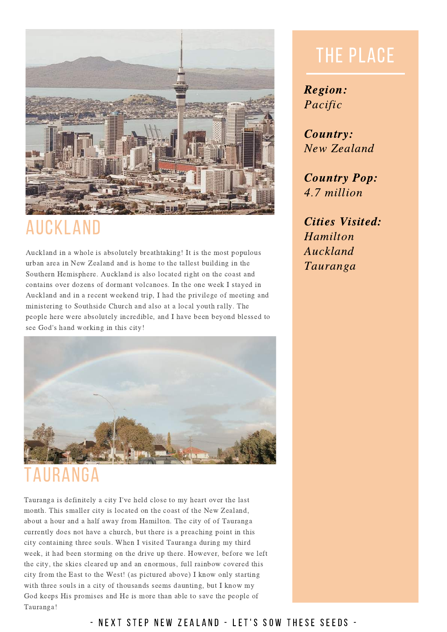

## AUCKLAND

Auckland in a whole is absolutely breathtaking! It is the most populous urban area in New Zealand and is home to the tallest building in the Southern Hemisphere. Auckland is also located right on the coast and contains over dozens of dormant volcanoes. In the one week I stayed in Auckland and in a recent weekend trip, I had the privilege of meeting and ministering to Southside Church and also at a local youth rally. The people here were absolutely incredible, and I have been beyond blessed to see God's hand working in this city!



### ANGA

Tauranga is definitely a city I've held close to my heart over the last month. This smaller city is located on the coast of the New Zealand, about a hour and a half away from Hamilton. The city of of Tauranga currently does not have a church, but there is a preaching point in this city containing three souls. When I visited Tauranga during my third week, it had been storming on the drive up there. However, before we left the city, the skies cleared up and an enormous, full rainbow covered this city from the East to the West! (as pictured above) I know only starting with three souls in a city of thousands seems daunting, but I know my God keeps His promises and He is more than able to save the people of Tauranga!

## THE PLACE

Region: Pacific

Country: New Zealand

Country Pop: 4.7 million

Cities Visited: Hamilton Auckland Tauranga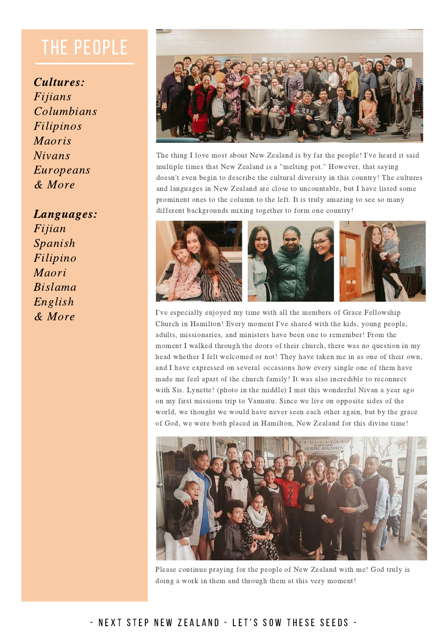## THE PEOPLE

Cultures: Fijians Columbians Filipinos Maoris Nivans Europeans & More

Languages: Fijian Spanish Filipino Maori Bislama English & More



The thing I love most about New Zealand is by far the people! I've heard it said multiple times that New Zealand is a "melting pot." However, that saying doesn't even begin to describe the cultural diversity in this country! The cultures and languages in New Zealand are close to uncountable, but I have listed some prominent ones to the column to the left. It is truly amazing to see so many different backgrounds mixing together to form one country!



I've especially enjoyed my time with all the members of Grace Fellowship Church in Hamilton! Every moment I've shared with the kids, young people, adults, missionaries, and ministers have been one to remember! From the moment I walked through the doors of their church, there was no question in my head whether I felt welcomed or not! They have taken me in as one of their own, and I have expressed on several occasions how every single one of them have made me feel apart of the church family! It was also incredible to reconnect with Sis. Lynette! (photo in the middle) I met this wonderful Nivan a year ago on my first missions trip to Vanuatu. Since we live on opposite sides of the world, we thought we would have never seen each other again, but by the grace of God, we were both placed in Hamilton, New Zealand for this divine time!



Please continue praying for the people of New Zealand with me! God truly is doing a work in them and through them at this very moment!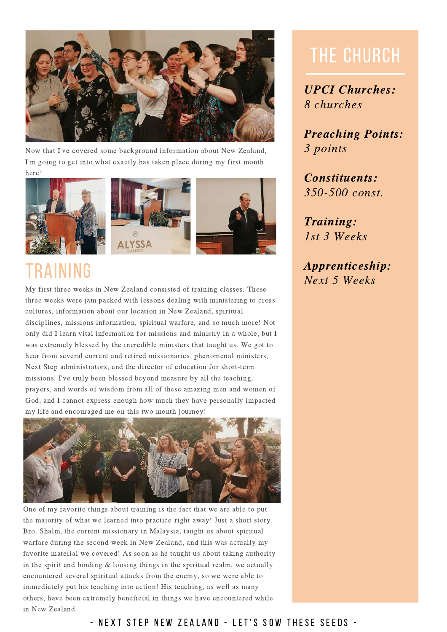

Now that I've covered some background information about New Zealand, I'm going to get into what exactly has taken place during my first month here!







## TRAINING

My first three weeks in New Zealand consisted of training classes. These three weeks were jam packed with lessons dealing with ministering to cross cultures, information about our location in New Zealand, spiritual disciplines, missions information, spiritual warfare, and so much more! Not only did I learn vital information for missions and ministry in a whole, but I was extremely blessed by the incredible ministers that taught us. We got to hear from several current and retired missionaries, phenomenal ministers, Next Step administrators, and the director of education for short-term missions. I've truly been blessed beyond measure by all the teaching, prayers, and words of wisdom from all of these amazing men and women of God, and I cannot express enough how much they have personally impacted my life and encouraged me on this two month journey!



One of my favorite things about training is the fact that we are able to put the majority of what we learned into practice right away! Just a short story, Bro. Shalm, the current missionary in Malaysia, taught us about spiritual warfare during the second week in New Zealand, and this was actually my favorite material we covered! As soon as he taught us about taking authority in the spirit and binding & loosing things in the spiritual realm, we actually encountered several spiritual attacks from the enemy, so we were able to immediately put his teaching into action! His teaching, as well as many others, have been extremely beneficial in things we have encountered while in New Zealand.

## THE CHURCH

UPCI Churches: 8 churches

Preaching Points: 3 points

Constituents: 350-500 const.

Training: 1st 3 Weeks

Apprenticeship: Next 5 Weeks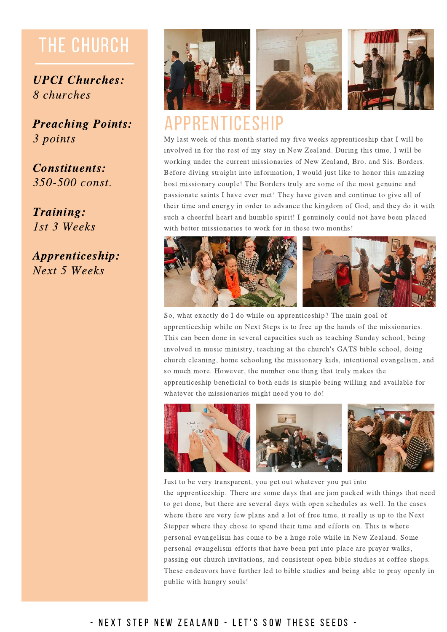## THE CHURCH

UPCI Churches: 8 churches

Preaching Points: 3 points

Constituents: 350-500 const.

Training: 1st 3 Weeks

Apprenticeship: Next 5 Weeks



#### APPRENTICESHIP

My last week of this month started my five weeks apprenticeship that I will be involved in for the rest of my stay in New Zealand. During this time, I will be working under the current missionaries of New Zealand, Bro. and Sis. Borders. Before diving straight into information, I would just like to honor this amazing host missionary couple! The Borders truly are some of the most genuine and passionate saints I have ever met! They have given and continue to give all of their time and energy in order to advance the kingdom of God, and they do it with such a cheerful heart and humble spirit! I genuinely could not have been placed with better missionaries to work for in these two months!



So, what exactly do I do while on apprenticeship? The main goal of apprenticeship while on Next Steps is to free up the hands of the missionaries. This can been done in several capacities such as teaching Sunday school, being involved in music ministry, teaching at the church's GATS bible school, doing church cleaning, home schooling the missionary kids, intentional evangelism, and so much more. However, the number one thing that truly makes the apprenticeship beneficial to both ends is simple being willing and available for whatever the missionaries might need you to do!



#### Just to be very transparent, you get out whatever you put into

the apprenticeship. There are some days that are jam packed with things that need to get done, but there are several days with open schedules as well. In the cases where there are very few plans and a lot of free time, it really is up to the Next Stepper where they chose to spend their time and efforts on. This is where personal evangelism has come to be a huge role while in New Zealand. Some personal evangelism efforts that have been put into place are prayer walks, passing out church invitations, and consistent open bible studies at coffee shops. These endeavors have further led to bible studies and being able to pray openly in public with hungry souls!